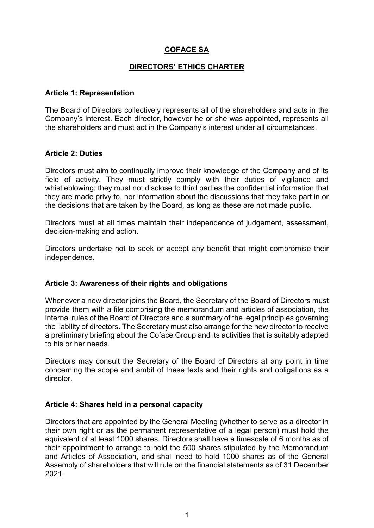# **COFACE SA**

### **DIRECTORS' ETHICS CHARTER**

### **Article 1: Representation**

The Board of Directors collectively represents all of the shareholders and acts in the Company's interest. Each director, however he or she was appointed, represents all the shareholders and must act in the Company's interest under all circumstances.

## **Article 2: Duties**

Directors must aim to continually improve their knowledge of the Company and of its field of activity. They must strictly comply with their duties of vigilance and whistleblowing; they must not disclose to third parties the confidential information that they are made privy to, nor information about the discussions that they take part in or the decisions that are taken by the Board, as long as these are not made public.

Directors must at all times maintain their independence of judgement, assessment, decision-making and action.

Directors undertake not to seek or accept any benefit that might compromise their independence.

## **Article 3: Awareness of their rights and obligations**

Whenever a new director joins the Board, the Secretary of the Board of Directors must provide them with a file comprising the memorandum and articles of association, the internal rules of the Board of Directors and a summary of the legal principles governing the liability of directors. The Secretary must also arrange for the new director to receive a preliminary briefing about the Coface Group and its activities that is suitably adapted to his or her needs.

Directors may consult the Secretary of the Board of Directors at any point in time concerning the scope and ambit of these texts and their rights and obligations as a director.

### **Article 4: Shares held in a personal capacity**

Directors that are appointed by the General Meeting (whether to serve as a director in their own right or as the permanent representative of a legal person) must hold the equivalent of at least 1000 shares. Directors shall have a timescale of 6 months as of their appointment to arrange to hold the 500 shares stipulated by the Memorandum and Articles of Association, and shall need to hold 1000 shares as of the General Assembly of shareholders that will rule on the financial statements as of 31 December 2021.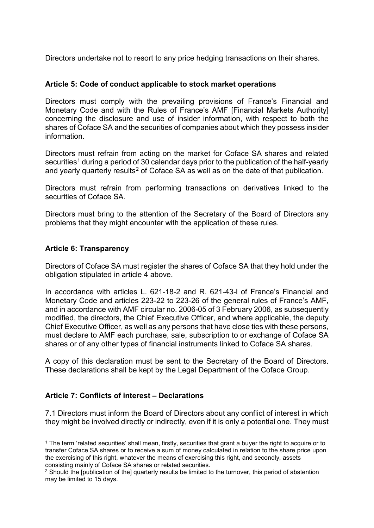Directors undertake not to resort to any price hedging transactions on their shares.

#### **Article 5: Code of conduct applicable to stock market operations**

Directors must comply with the prevailing provisions of France's Financial and Monetary Code and with the Rules of France's AMF [Financial Markets Authority] concerning the disclosure and use of insider information, with respect to both the shares of Coface SA and the securities of companies about which they possess insider information.

Directors must refrain from acting on the market for Coface SA shares and related securities<sup>[1](#page-1-0)</sup> during a period of 30 calendar days prior to the publication of the half-yearly and yearly quarterly results<sup>[2](#page-1-1)</sup> of Coface SA as well as on the date of that publication.

Directors must refrain from performing transactions on derivatives linked to the securities of Coface SA

Directors must bring to the attention of the Secretary of the Board of Directors any problems that they might encounter with the application of these rules.

#### **Article 6: Transparency**

Directors of Coface SA must register the shares of Coface SA that they hold under the obligation stipulated in article 4 above.

In accordance with articles L. 621-18-2 and R. 621-43-l of France's Financial and Monetary Code and articles 223-22 to 223-26 of the general rules of France's AMF, and in accordance with AMF circular no. 2006-05 of 3 February 2006, as subsequently modified, the directors, the Chief Executive Officer, and where applicable, the deputy Chief Executive Officer, as well as any persons that have close ties with these persons, must declare to AMF each purchase, sale, subscription to or exchange of Coface SA shares or of any other types of financial instruments linked to Coface SA shares.

A copy of this declaration must be sent to the Secretary of the Board of Directors. These declarations shall be kept by the Legal Department of the Coface Group.

### **Article 7: Conflicts of interest – Declarations**

7.1 Directors must inform the Board of Directors about any conflict of interest in which they might be involved directly or indirectly, even if it is only a potential one. They must

<span id="page-1-0"></span><sup>1</sup> The term 'related securities' shall mean, firstly, securities that grant a buyer the right to acquire or to transfer Coface SA shares or to receive a sum of money calculated in relation to the share price upon the exercising of this right, whatever the means of exercising this right, and secondly, assets consisting mainly of Coface SA shares or related securities.

<span id="page-1-1"></span><sup>&</sup>lt;sup>2</sup> Should the [publication of the] quarterly results be limited to the turnover, this period of abstention may be limited to 15 days.